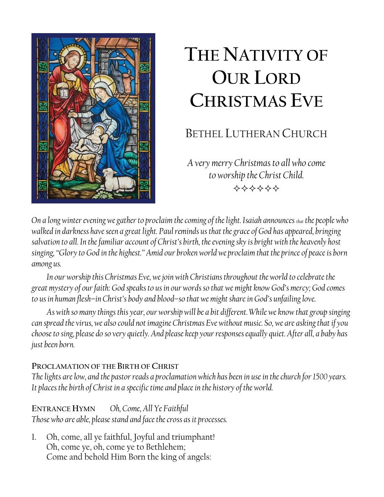

# **THE NATIVITY OF OUR LORD CHRISTMAS EVE**

# BETHEL LUTHERAN CHURCH

*A very merry Christmas to all who come to worship the Christ Child.* ☆☆☆☆☆☆

*On a long winter evening we gather to proclaim the coming of the light. Isaiah announces that the people who walked in darkness have seen a great light. Paul reminds us that the grace of God has appeared, bringing salvation to all. In the familiar account of Christ's birth, the evening sky is bright with the heavenly host singing, "Glory to God in the highest." Amid our broken world we proclaim that the prince of peace is born among us.* 

*In our worship this Christmas Eve, we join with Christians throughout the world to celebrate the great mystery of our faith: God speaks to us in our words so that we might know God's mercy; God comes to us in human flesh–in Christ's body and blood–so that we might share in God's unfailing love.*

*As with so many things this year, our worship will be a bit different. While we know that group singing can spread the virus, we also could not imagine Christmas Eve without music. So, we are asking that if you choose to sing, please do so very quietly. And please keep your responses equally quiet. After all, a baby has just been born.*

# **PROCLAMATION OF THE BIRTH OF CHRIST**

*The lights are low, and the pastor reads a proclamation which has been in use in the church for 1500 years. It places the birth of Christ in a specific time and place in the history of the world.* 

**ENTRANCE HYMN** *Oh, Come, All Ye Faithful Those who are able, please stand and face the cross as it processes.*

1. Oh, come, all ye faithful, Joyful and triumphant! Oh, come ye, oh, come ye to Bethlehem; Come and behold Him Born the king of angels: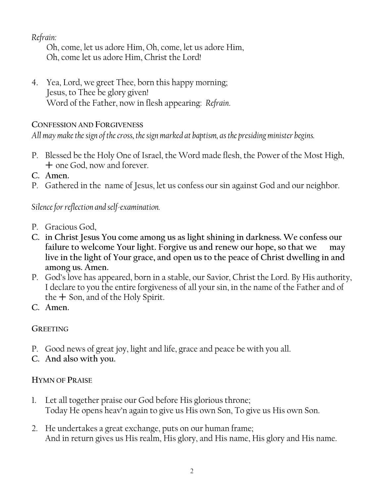*Refrain:*

Oh, come, let us adore Him, Oh, come, let us adore Him, Oh, come let us adore Him, Christ the Lord!

4. Yea, Lord, we greet Thee, born this happy morning; Jesus, to Thee be glory given! Word of the Father, now in flesh appearing: *Refrain*.

# **CONFESSION AND FORGIVENESS**

*All may make the sign of the cross, the sign marked at baptism, as the presiding minister begins.*

- P. Blessed be the Holy One of Israel, the Word made flesh, the Power of the Most High,  $+$  one God, now and forever.
- **C. Amen.**
- P. Gathered in the name of Jesus, let us confess our sin against God and our neighbor.

# *Silence for reflection and self-examination.*

- P. Gracious God,
- **C. in Christ Jesus You come among us as light shining in darkness. We confess our failure to welcome Your light. Forgive us and renew our hope, so that we may live in the light of Your grace, and open us to the peace of Christ dwelling in and among us. Amen.**
- P. God's love has appeared, born in a stable, our Savior, Christ the Lord. By His authority, I declare to you the entire forgiveness of all your sin, in the name of the Father and of the  $+$  Son, and of the Holy Spirit.
- **C. Amen.**

# **GREETING**

P. Good news of great joy, light and life, grace and peace be with you all.

**C. And also with you.**

# **HYMN OF PRAISE**

- 1. Let all together praise our God before His glorious throne; Today He opens heav'n again to give us His own Son, To give us His own Son.
- 2. He undertakes a great exchange, puts on our human frame; And in return gives us His realm, His glory, and His name, His glory and His name.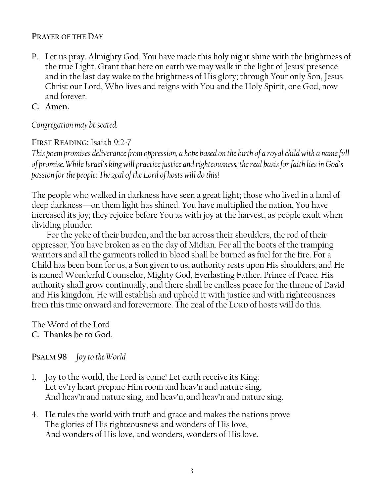#### **PRAYER OF THE DAY**

- P. Let us pray. Almighty God, You have made this holy night shine with the brightness of the true Light. Grant that here on earth we may walk in the light of Jesus' presence and in the last day wake to the brightness of His glory; through Your only Son, Jesus Christ our Lord, Who lives and reigns with You and the Holy Spirit, one God, now and forever.
- **C. Amen.**

*Congregation may be seated.*

#### **FIRST READING:** Isaiah 9:2-7

*This poem promises deliverance from oppression, a hope based on the birth of a royal child with a name full of promise. While Israel's king will practice justice and righteousness, the real basis for faith lies in God's passion for the people: The zeal of the Lord of hosts will do this!*

The people who walked in darkness have seen a great light; those who lived in a land of deep darkness—on them light has shined. You have multiplied the nation, You have increased its joy; they rejoice before You as with joy at the harvest, as people exult when dividing plunder.

For the yoke of their burden, and the bar across their shoulders, the rod of their oppressor, You have broken as on the day of Midian. For all the boots of the tramping warriors and all the garments rolled in blood shall be burned as fuel for the fire. For a Child has been born for us, a Son given to us; authority rests upon His shoulders; and He is named Wonderful Counselor, Mighty God, Everlasting Father, Prince of Peace. His authority shall grow continually, and there shall be endless peace for the throne of David and His kingdom. He will establish and uphold it with justice and with righteousness from this time onward and forevermore. The zeal of the LORD of hosts will do this.

The Word of the Lord **C. Thanks be to God.**

**PSALM 98** *Joy to the World*

- 1. Joy to the world, the Lord is come! Let earth receive its King: Let ev'ry heart prepare Him room and heav'n and nature sing, And heav'n and nature sing, and heav'n, and heav'n and nature sing.
- 4. He rules the world with truth and grace and makes the nations prove The glories of His righteousness and wonders of His love, And wonders of His love, and wonders, wonders of His love.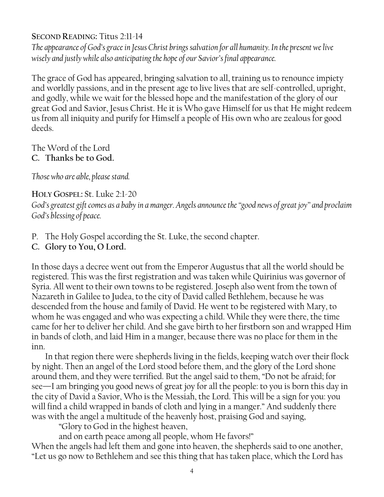#### **SECOND READING:** Titus 2:11-14

*The appearance of God's grace in Jesus Christ brings salvation for all humanity. In the present we live wisely and justly while also anticipating the hope of our Savior's final appearance.*

The grace of God has appeared, bringing salvation to all, training us to renounce impiety and worldly passions, and in the present age to live lives that are self-controlled, upright, and godly, while we wait for the blessed hope and the manifestation of the glory of our great God and Savior, Jesus Christ. He it is Who gave Himself for us that He might redeem us from all iniquity and purify for Himself a people of His own who are zealous for good deeds.

The Word of the Lord **C. Thanks be to God.**

*Those who are able, please stand.*

**HOLY GOSPEL:** St. Luke 2:1-20

*God's greatest gift comes as a baby in a manger. Angels announce the "good news of great joy" and proclaim God's blessing of peace.*

- P. The Holy Gospel according the St. Luke, the second chapter.
- **C. Glory to You, O Lord.**

In those days a decree went out from the Emperor Augustus that all the world should be registered. This was the first registration and was taken while Quirinius was governor of Syria. All went to their own towns to be registered. Joseph also went from the town of Nazareth in Galilee to Judea, to the city of David called Bethlehem, because he was descended from the house and family of David. He went to be registered with Mary, to whom he was engaged and who was expecting a child. While they were there, the time came for her to deliver her child. And she gave birth to her firstborn son and wrapped Him in bands of cloth, and laid Him in a manger, because there was no place for them in the inn.

In that region there were shepherds living in the fields, keeping watch over their flock by night. Then an angel of the Lord stood before them, and the glory of the Lord shone around them, and they were terrified. But the angel said to them, "Do not be afraid; for see—I am bringing you good news of great joy for all the people: to you is born this day in the city of David a Savior, Who is the Messiah, the Lord. This will be a sign for you: you will find a child wrapped in bands of cloth and lying in a manger." And suddenly there was with the angel a multitude of the heavenly host, praising God and saying,

"Glory to God in the highest heaven,

and on earth peace among all people, whom He favors!"

When the angels had left them and gone into heaven, the shepherds said to one another, "Let us go now to Bethlehem and see this thing that has taken place, which the Lord has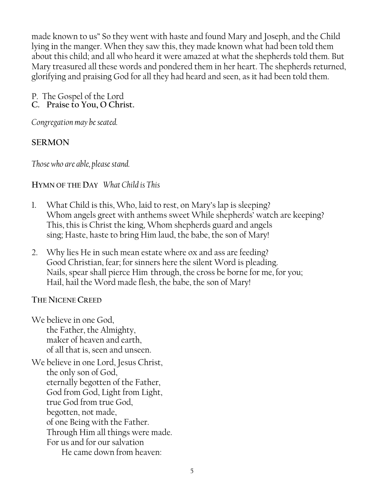made known to us" So they went with haste and found Mary and Joseph, and the Child lying in the manger. When they saw this, they made known what had been told them about this child; and all who heard it were amazed at what the shepherds told them. But Mary treasured all these words and pondered them in her heart. The shepherds returned, glorifying and praising God for all they had heard and seen, as it had been told them.

P. The Gospel of the Lord **C. Praise to You, O Christ.**

*Congregation may be seated.* 

# **SERMON**

*Those who are able, please stand.*

# **HYMN OF THE DAY** *What Child is This*

- 1. What Child is this, Who, laid to rest, on Mary's lap is sleeping? Whom angels greet with anthems sweet While shepherds' watch are keeping? This, this is Christ the king, Whom shepherds guard and angels sing; Haste, haste to bring Him laud, the babe, the son of Mary!
- 2. Why lies He in such mean estate where ox and ass are feeding? Good Christian, fear; for sinners here the silent Word is pleading. Nails, spear shall pierce Him through, the cross be borne for me, for you; Hail, hail the Word made flesh, the babe, the son of Mary!

# **THE NICENE CREED**

We believe in one God, the Father, the Almighty, maker of heaven and earth, of all that is, seen and unseen.

We believe in one Lord, Jesus Christ, the only son of God, eternally begotten of the Father, God from God, Light from Light, true God from true God, begotten, not made, of one Being with the Father. Through Him all things were made. For us and for our salvation He came down from heaven: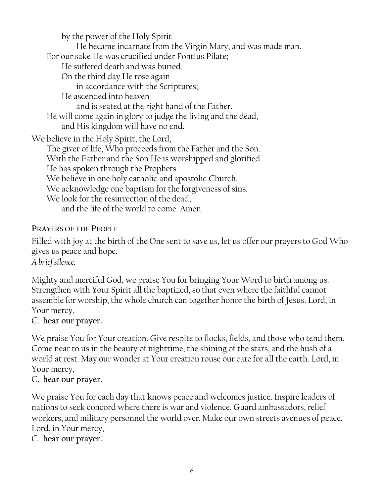by the power of the Holy Spirit He became incarnate from the Virgin Mary, and was made man. For our sake He was crucified under Pontius Pilate; He suffered death and was buried. On the third day He rose again in accordance with the Scriptures; He ascended into heaven and is seated at the right hand of the Father. He will come again in glory to judge the living and the dead, and His kingdom will have no end. We believe in the Holy Spirit, the Lord, The giver of life, Who proceeds from the Father and the Son. With the Father and the Son He is worshipped and glorified. He has spoken through the Prophets. We believe in one holy catholic and apostolic Church. We acknowledge one baptism for the forgiveness of sins. We look for the resurrection of the dead, and the life of the world to come. Amen.

#### **PRAYERS OF THE PEOPLE**

Filled with joy at the birth of the One sent to save us, let us offer our prayers to God Who gives us peace and hope.

*A brief silence.*

Mighty and merciful God, we praise You for bringing Your Word to birth among us. Strengthen with Your Spirit all the baptized, so that even where the faithful cannot assemble for worship, the whole church can together honor the birth of Jesus. Lord, in Your mercy,

C. **hear our prayer.**

We praise You for Your creation. Give respite to flocks, fields, and those who tend them. Come near to us in the beauty of nighttime, the shining of the stars, and the hush of a world at rest. May our wonder at Your creation rouse our care for all the earth. Lord, in Your mercy,

C. **hear our prayer.**

We praise You for each day that knows peace and welcomes justice. Inspire leaders of nations to seek concord where there is war and violence. Guard ambassadors, relief workers, and military personnel the world over*.* Make our own streets avenues of peace. Lord, in Your mercy,

C. **hear our prayer.**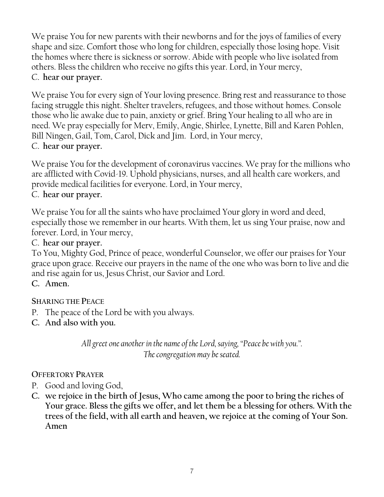We praise You for new parents with their newborns and for the joys of families of every shape and size. Comfort those who long for children, especially those losing hope. Visit the homes where there is sickness or sorrow. Abide with people who live isolated from others. Bless the children who receive no gifts this year. Lord, in Your mercy, C. **hear our prayer.**

We praise You for every sign of Your loving presence. Bring rest and reassurance to those facing struggle this night. Shelter travelers, refugees, and those without homes. Console those who lie awake due to pain, anxiety or grief. Bring Your healing to all who are in need. We pray especially for Merv, Emily, Angie, Shirlee, Lynette, Bill and Karen Pohlen, Bill Ningen, Gail, Tom, Carol, Dick and Jim. Lord, in Your mercy, C. **hear our prayer.**

We praise You for the development of coronavirus vaccines. We pray for the millions who are afflicted with Covid-19. Uphold physicians, nurses, and all health care workers, and provide medical facilities for everyone. Lord, in Your mercy,

#### C. **hear our prayer.**

We praise You for all the saints who have proclaimed Your glory in word and deed, especially those we remember in our hearts. With them, let us sing Your praise, now and forever. Lord, in Your mercy,

C. **hear our prayer.**

To You, Mighty God, Prince of peace, wonderful Counselor, we offer our praises for Your grace upon grace. Receive our prayers in the name of the one who was born to live and die and rise again for us, Jesus Christ, our Savior and Lord.

#### **C. Amen.**

**SHARING THE PEACE**

- P. The peace of the Lord be with you always.
- **C. And also with you.**

*All greet one another in the name of the Lord, saying, "Peace be with you.". The congregation may be seated.*

#### **OFFERTORY PRAYER**

- P. Good and loving God,
- **C. we rejoice in the birth of Jesus, Who came among the poor to bring the riches of Your grace. Bless the gifts we offer, and let them be a blessing for others. With the trees of the field, with all earth and heaven, we rejoice at the coming of Your Son. Amen**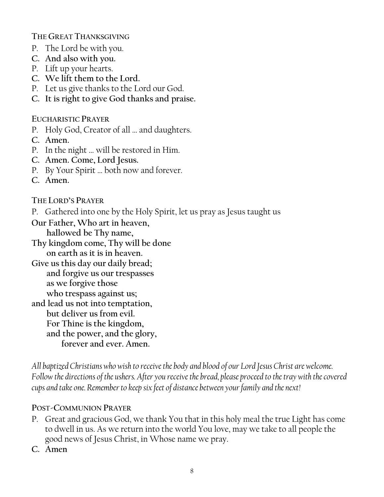**THE GREAT THANKSGIVING** 

- P. The Lord be with you.
- **C. And also with you.**
- P. Lift up your hearts.
- **C. We lift them to the Lord.**
- P. Let us give thanks to the Lord our God.
- **C. It is right to give God thanks and praise.**

#### **EUCHARISTIC PRAYER**

- P. Holy God, Creator of all … and daughters.
- **C. Amen.**
- P. In the night … will be restored in Him.
- **C. Amen. Come, Lord Jesus.**
- P. By Your Spirit … both now and forever.
- **C. Amen.**

**THE LORD'S PRAYER**

- P. Gathered into one by the Holy Spirit, let us pray as Jesus taught us
- **Our Father, Who art in heaven,**

**hallowed be Thy name,** 

**Thy kingdom come, Thy will be done on earth as it is in heaven.**

**Give us this day our daily bread; and forgive us our trespasses as we forgive those who trespass against us; and lead us not into temptation,** 

**but deliver us from evil.** 

**For Thine is the kingdom,** 

**and the power, and the glory,**

**forever and ever. Amen.**

*All baptized Christians who wish to receive the body and blood of our Lord Jesus Christ are welcome. Follow the directions of the ushers. After you receive the bread, please proceed to the tray with the covered cups and take one. Remember to keep six feet of distance between your family and the next!*

# **POST-COMMUNION PRAYER**

- P. Great and gracious God, we thank You that in this holy meal the true Light has come to dwell in us. As we return into the world You love, may we take to all people the good news of Jesus Christ, in Whose name we pray.
- **C. Amen**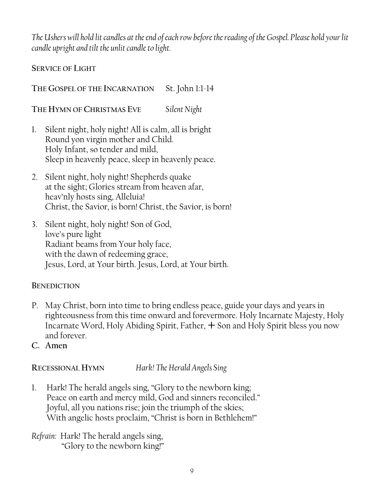*The Ushers will hold lit candles at the end of each row before the reading of the Gospel. Please hold your lit candle upright and tilt the unlit candle to light.*

**SERVICE OF LIGHT**

**THE GOSPEL OF THE INCARNATION** St. John 1:1-14

**THE HYMN OF CHRISTMAS EVE** *Silent Night*

- 1. Silent night, holy night! All is calm, all is bright Round yon virgin mother and Child. Holy Infant, so tender and mild, Sleep in heavenly peace, sleep in heavenly peace.
- 2. Silent night, holy night! Shepherds quake at the sight; Glories stream from heaven afar, heav'nly hosts sing, Alleluia! Christ, the Savior, is born! Christ, the Savior, is born!
- 3. Silent night, holy night! Son of God, love's pure light Radiant beams from Your holy face, with the dawn of redeeming grace, Jesus, Lord, at Your birth. Jesus, Lord, at Your birth.

# **BENEDICTION**

- P. May Christ, born into time to bring endless peace, guide your days and years in righteousness from this time onward and forevermore. Holy Incarnate Majesty, Holy Incarnate Word, Holy Abiding Spirit, Father,  $+$  Son and Holy Spirit bless you now and forever.
- **C. Amen**

**RECESSIONAL HYMN** *Hark! The Herald Angels Sing*

1. Hark! The herald angels sing, "Glory to the newborn king; Peace on earth and mercy mild, God and sinners reconciled." Joyful, all you nations rise; join the triumph of the skies; With angelic hosts proclaim, "Christ is born in Bethlehem!"

*Refrain:* Hark! The herald angels sing, "Glory to the newborn king!"